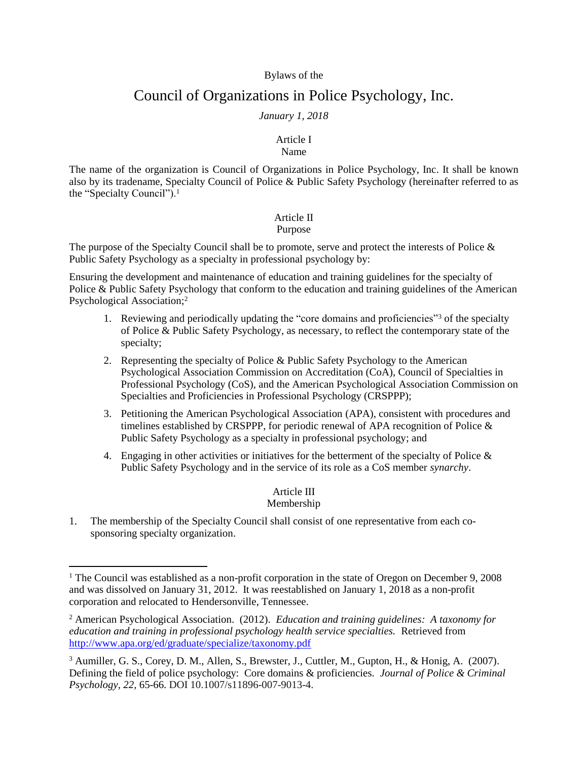#### Bylaws of the

# Council of Organizations in Police Psychology, Inc.

### *January 1, 2018*

#### Article I Name

The name of the organization is Council of Organizations in Police Psychology, Inc. It shall be known also by its tradename, Specialty Council of Police & Public Safety Psychology (hereinafter referred to as the "Specialty Council").<sup>1</sup>

### Article II

#### Purpose

The purpose of the Specialty Council shall be to promote, serve and protect the interests of Police & Public Safety Psychology as a specialty in professional psychology by:

Ensuring the development and maintenance of education and training guidelines for the specialty of Police & Public Safety Psychology that conform to the education and training guidelines of the American Psychological Association;<sup>2</sup>

- 1. Reviewing and periodically updating the "core domains and proficiencies"<sup>3</sup> of the specialty of Police & Public Safety Psychology, as necessary, to reflect the contemporary state of the specialty;
- 2. Representing the specialty of Police  $&$  Public Safety Psychology to the American Psychological Association Commission on Accreditation (CoA), Council of Specialties in Professional Psychology (CoS), and the American Psychological Association Commission on Specialties and Proficiencies in Professional Psychology (CRSPPP);
- 3. Petitioning the American Psychological Association (APA), consistent with procedures and timelines established by CRSPPP, for periodic renewal of APA recognition of Police  $\&$ Public Safety Psychology as a specialty in professional psychology; and
- 4. Engaging in other activities or initiatives for the betterment of the specialty of Police  $\&$ Public Safety Psychology and in the service of its role as a CoS member *synarchy*.

## Article III

### Membership

1. The membership of the Specialty Council shall consist of one representative from each cosponsoring specialty organization.

 $\overline{a}$ 

<sup>&</sup>lt;sup>1</sup> The Council was established as a non-profit corporation in the state of Oregon on December 9, 2008 and was dissolved on January 31, 2012. It was reestablished on January 1, 2018 as a non-profit corporation and relocated to Hendersonville, Tennessee.

<sup>2</sup> American Psychological Association. (2012). *Education and training guidelines: A taxonomy for education and training in professional psychology health service specialties.* Retrieved from <http://www.apa.org/ed/graduate/specialize/taxonomy.pdf>

<sup>3</sup> Aumiller, G. S., Corey, D. M., Allen, S., Brewster, J., Cuttler, M., Gupton, H., & Honig, A. (2007). Defining the field of police psychology: Core domains & proficiencies. *Journal of Police & Criminal Psychology, 22,* 65-66. DOI 10.1007/s11896-007-9013-4.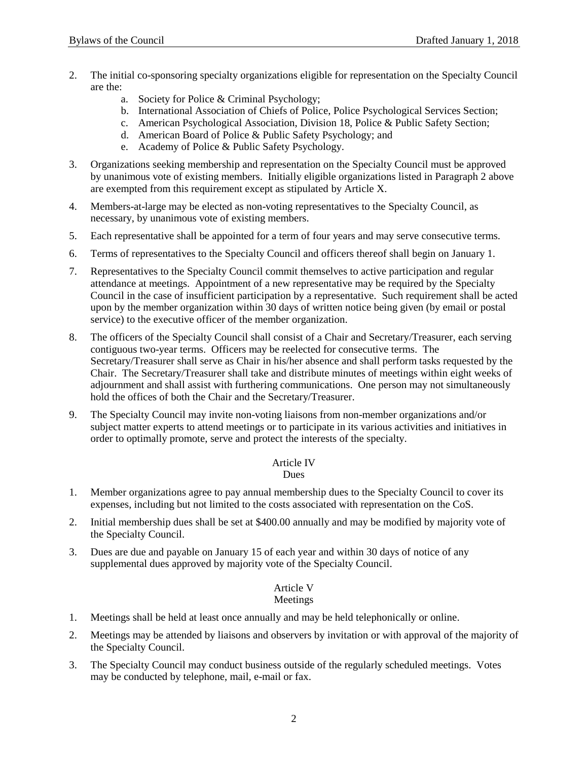- 2. The initial co-sponsoring specialty organizations eligible for representation on the Specialty Council are the:
	- a. Society for Police & Criminal Psychology;
	- b. International Association of Chiefs of Police, Police Psychological Services Section;
	- c. American Psychological Association, Division 18, Police & Public Safety Section;
	- d. American Board of Police & Public Safety Psychology; and
	- e. Academy of Police & Public Safety Psychology.
- 3. Organizations seeking membership and representation on the Specialty Council must be approved by unanimous vote of existing members. Initially eligible organizations listed in Paragraph 2 above are exempted from this requirement except as stipulated by Article X.
- 4. Members-at-large may be elected as non-voting representatives to the Specialty Council, as necessary, by unanimous vote of existing members.
- 5. Each representative shall be appointed for a term of four years and may serve consecutive terms.
- 6. Terms of representatives to the Specialty Council and officers thereof shall begin on January 1.
- 7. Representatives to the Specialty Council commit themselves to active participation and regular attendance at meetings. Appointment of a new representative may be required by the Specialty Council in the case of insufficient participation by a representative. Such requirement shall be acted upon by the member organization within 30 days of written notice being given (by email or postal service) to the executive officer of the member organization.
- 8. The officers of the Specialty Council shall consist of a Chair and Secretary/Treasurer, each serving contiguous two-year terms. Officers may be reelected for consecutive terms. The Secretary/Treasurer shall serve as Chair in his/her absence and shall perform tasks requested by the Chair. The Secretary/Treasurer shall take and distribute minutes of meetings within eight weeks of adjournment and shall assist with furthering communications. One person may not simultaneously hold the offices of both the Chair and the Secretary/Treasurer.
- 9. The Specialty Council may invite non-voting liaisons from non-member organizations and/or subject matter experts to attend meetings or to participate in its various activities and initiatives in order to optimally promote, serve and protect the interests of the specialty.

### Article IV

#### **Dues**

- 1. Member organizations agree to pay annual membership dues to the Specialty Council to cover its expenses, including but not limited to the costs associated with representation on the CoS.
- 2. Initial membership dues shall be set at \$400.00 annually and may be modified by majority vote of the Specialty Council.
- 3. Dues are due and payable on January 15 of each year and within 30 days of notice of any supplemental dues approved by majority vote of the Specialty Council.

## Article V

### Meetings

- 1. Meetings shall be held at least once annually and may be held telephonically or online.
- 2. Meetings may be attended by liaisons and observers by invitation or with approval of the majority of the Specialty Council.
- 3. The Specialty Council may conduct business outside of the regularly scheduled meetings. Votes may be conducted by telephone, mail, e-mail or fax.